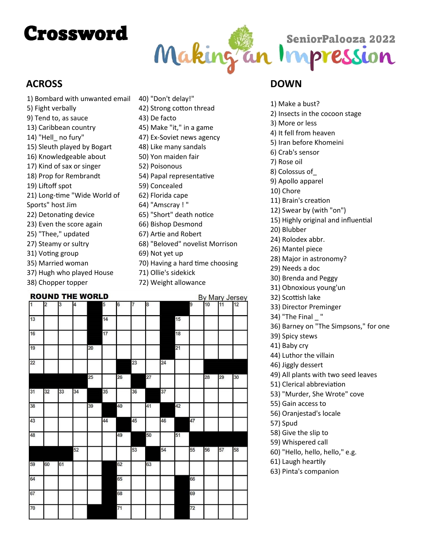# Crossword



## **ACROSS**

- 1) Bombard with unwanted email 5) Fight verbally 9) Tend to, as sauce 13) Caribbean country 14) "Hell\_ no fury" 15) Sleuth played by Bogart 16) Knowledgeable about 17) Kind of sax or singer 18) Prop for Rembrandt 19) Liftoff spot 21) Long-time "Wide World of Sports" host Jim 22) Detonating device 23) Even the score again 25) "Thee," updated 27) Steamy or sultry 40) "Don't delay!"
- 31) Voting group
- 35) Married woman
- 37) Hugh who played House
- 38) Chopper topper

#### **DOUND THE WODLD**

- 42) Strong cotton thread 43) De facto 45) Make "it," in a game 47) Ex-Soviet news agency 48) Like many sandals 50) Yon maiden fair 52) Poisonous 54) Papal representative 59) Concealed 62) Florida cape 64) "Amscray ! " 65) "Short" death notice 66) Bishop Desmond 67) Artie and Robert 68) "Beloved" novelist Morrison 69) Not yet up
- 70) Having a hard time choosing
- 71) Ollie's sidekick
- 72) Weight allowance

| KOUND THE WURLD |                |    |    |    |    |                |    |    |    |                 |    | By Mary Jersey<br>10 11 12 |    |    |  |
|-----------------|----------------|----|----|----|----|----------------|----|----|----|-----------------|----|----------------------------|----|----|--|
| $\overline{1}$  | $\overline{2}$ | 3  | 4  |    | 5  | $6\phantom{a}$ | 7  | 8  |    |                 | 9  |                            |    |    |  |
| 13              |                |    |    |    | 14 |                |    |    |    | 15              |    |                            |    |    |  |
| 16              |                |    |    |    | 17 |                |    |    |    | 18              |    |                            |    |    |  |
| 19              |                |    |    | 20 |    |                |    |    |    | $\overline{21}$ |    |                            |    |    |  |
| $\overline{22}$ |                |    |    |    |    |                | 23 |    | 24 |                 |    |                            |    |    |  |
|                 |                |    |    | 25 |    | 26             |    | 27 |    |                 |    | 28                         | 29 | 30 |  |
| 31              | 32             | 33 | 34 |    | 35 |                | 36 |    | 37 |                 |    |                            |    |    |  |
| <b>38</b>       |                |    |    | 39 |    | 40             |    | 41 |    | 42              |    |                            |    |    |  |
| 43<br>48        |                |    |    |    | 44 |                | 45 |    | 46 |                 | 47 |                            |    |    |  |
|                 |                |    |    |    |    | 49             |    | 50 |    | 51              |    |                            |    |    |  |
|                 |                |    | 52 |    |    |                | 53 |    | 54 |                 | 55 | 56                         | 57 | 58 |  |
| 59              | 60             | 61 |    |    |    | 62             |    | 63 |    |                 |    |                            |    |    |  |
| 64              |                |    |    |    |    | 65             |    |    |    |                 | 66 |                            |    |    |  |
| 67              |                |    |    |    |    | 68             |    |    |    |                 | 69 |                            |    |    |  |
| 70              |                |    |    |    |    | 71             |    |    |    |                 | 72 |                            |    |    |  |
|                 |                |    |    |    |    |                |    |    |    |                 |    |                            |    |    |  |

### **DOWN**

| 1) Make a bust?                                           |
|-----------------------------------------------------------|
| 2) Insects in the cocoon stage                            |
| 3) More or less                                           |
| 4) It fell from heaven                                    |
| 5) Iran before Khomeini                                   |
| 6) Crab's sensor                                          |
| 7) Rose oil                                               |
| 8) Colossus of                                            |
| 9) Apollo apparel                                         |
| 10) Chore                                                 |
| 11) Brain's creation                                      |
| 12) Swear by (with "on")                                  |
| 15) Highly original and influential                       |
| 20) Blubber                                               |
| 24) Rolodex abbr.                                         |
| 26) Mantel piece                                          |
| 28) Major in astronomy?                                   |
| 29) Needs a doc                                           |
| 30) Brenda and Peggy                                      |
| 31) Obnoxious young'un                                    |
| 32) Scottish lake                                         |
| 33) Director Preminger                                    |
| 34) "The Final                                            |
| 36) Barney on "The Simpsons," for one                     |
| 39) Spicy stews                                           |
| 41) Baby cry                                              |
| 44) Luthor the villain                                    |
| 46) Jiggly dessert                                        |
| 49) All plants with two seed leaves                       |
| 51) Clerical abbreviation<br>53) "Murder, She Wrote" cove |
| 55) Gain access to                                        |
| 56) Oranjestad's locale                                   |
| 57) Spud                                                  |
| 58) Give the slip to                                      |
| 59) Whispered call                                        |
| 60) "Hello, hello, hello," e.g.                           |
| 61) Laugh heartily                                        |
| 63) Pinta's companion                                     |
|                                                           |
|                                                           |